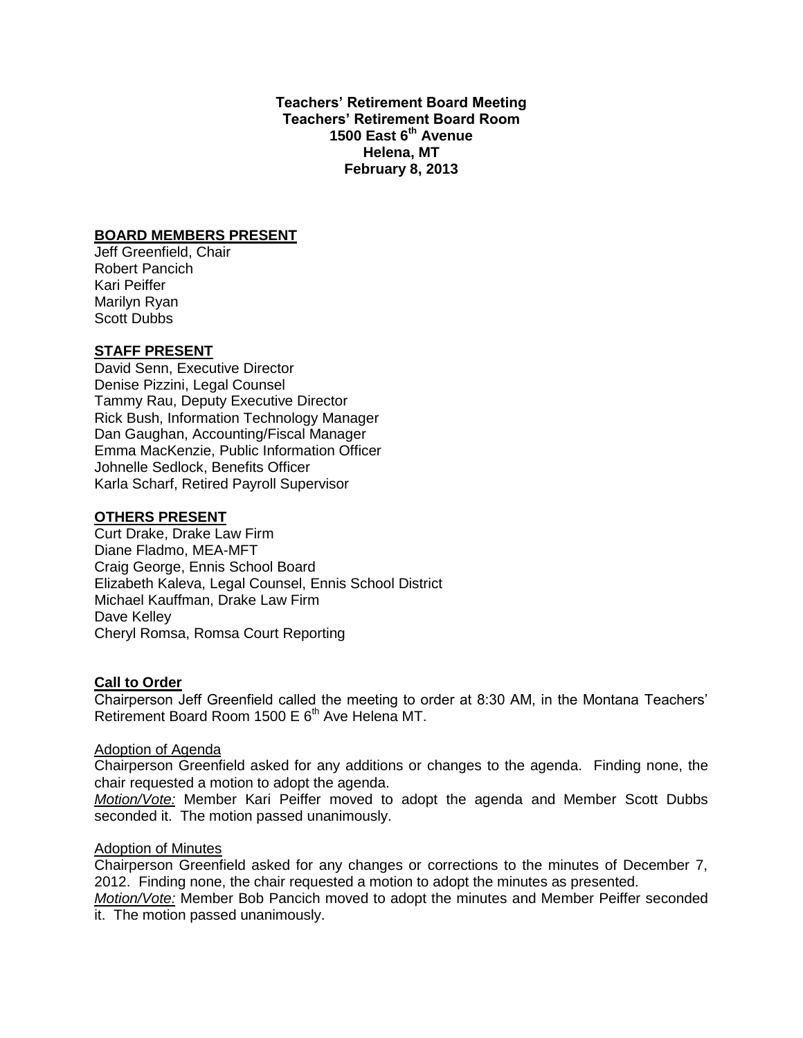**Teachers' Retirement Board Meeting Teachers' Retirement Board Room 1500 East 6th Avenue Helena, MT February 8, 2013**

#### **BOARD MEMBERS PRESENT**

Jeff Greenfield, Chair Robert Pancich Kari Peiffer Marilyn Ryan Scott Dubbs

# **STAFF PRESENT**

David Senn, Executive Director Denise Pizzini, Legal Counsel Tammy Rau, Deputy Executive Director Rick Bush, Information Technology Manager Dan Gaughan, Accounting/Fiscal Manager Emma MacKenzie, Public Information Officer Johnelle Sedlock, Benefits Officer Karla Scharf, Retired Payroll Supervisor

#### **OTHERS PRESENT**

Curt Drake, Drake Law Firm Diane Fladmo, MEA-MFT Craig George, Ennis School Board Elizabeth Kaleva, Legal Counsel, Ennis School District Michael Kauffman, Drake Law Firm Dave Kelley Cheryl Romsa, Romsa Court Reporting

#### **Call to Order**

Chairperson Jeff Greenfield called the meeting to order at 8:30 AM, in the Montana Teachers' Retirement Board Room 1500 E  $6<sup>th</sup>$  Ave Helena MT.

#### Adoption of Agenda

Chairperson Greenfield asked for any additions or changes to the agenda. Finding none, the chair requested a motion to adopt the agenda.

*Motion/Vote:* Member Kari Peiffer moved to adopt the agenda and Member Scott Dubbs seconded it. The motion passed unanimously.

# **Adoption of Minutes**

Chairperson Greenfield asked for any changes or corrections to the minutes of December 7, 2012. Finding none, the chair requested a motion to adopt the minutes as presented.

*Motion/Vote:* Member Bob Pancich moved to adopt the minutes and Member Peiffer seconded it. The motion passed unanimously.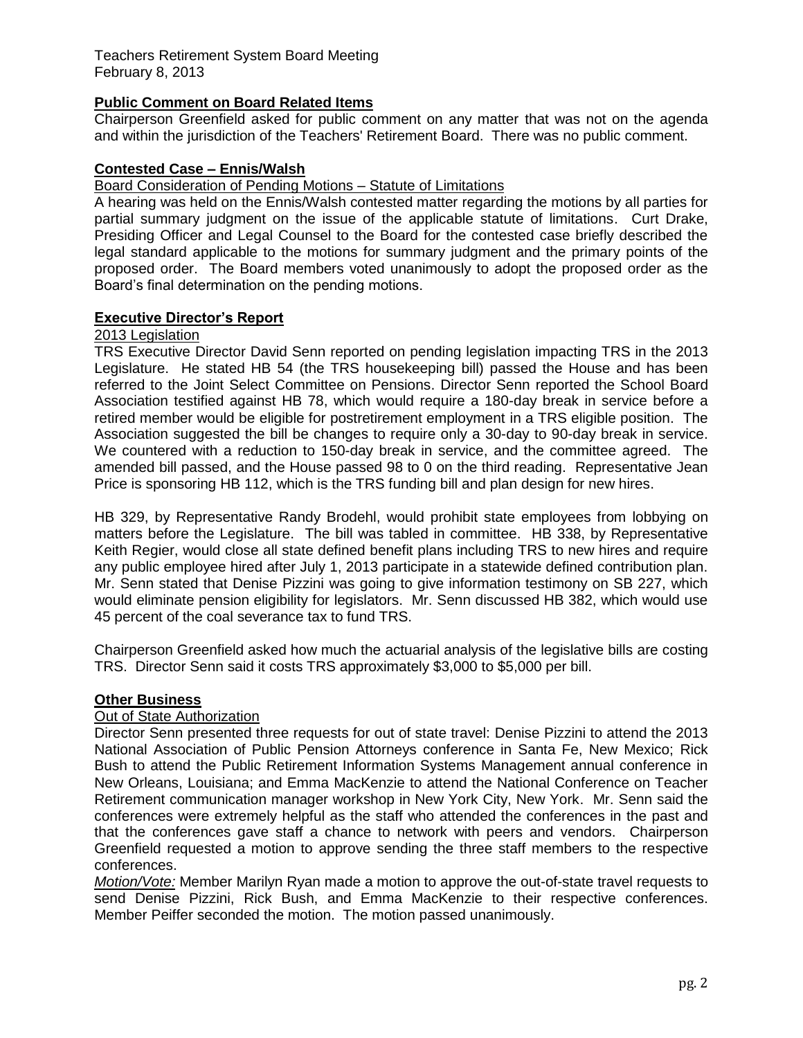Teachers Retirement System Board Meeting February 8, 2013

# **Public Comment on Board Related Items**

Chairperson Greenfield asked for public comment on any matter that was not on the agenda and within the jurisdiction of the Teachers' Retirement Board. There was no public comment.

### **Contested Case – Ennis/Walsh**

#### Board Consideration of Pending Motions – Statute of Limitations

A hearing was held on the Ennis/Walsh contested matter regarding the motions by all parties for partial summary judgment on the issue of the applicable statute of limitations. Curt Drake, Presiding Officer and Legal Counsel to the Board for the contested case briefly described the legal standard applicable to the motions for summary judgment and the primary points of the proposed order. The Board members voted unanimously to adopt the proposed order as the Board's final determination on the pending motions.

### **Executive Director's Report**

## 2013 Legislation

TRS Executive Director David Senn reported on pending legislation impacting TRS in the 2013 Legislature. He stated HB 54 (the TRS housekeeping bill) passed the House and has been referred to the Joint Select Committee on Pensions. Director Senn reported the School Board Association testified against HB 78, which would require a 180-day break in service before a retired member would be eligible for postretirement employment in a TRS eligible position. The Association suggested the bill be changes to require only a 30-day to 90-day break in service. We countered with a reduction to 150-day break in service, and the committee agreed. The amended bill passed, and the House passed 98 to 0 on the third reading. Representative Jean Price is sponsoring HB 112, which is the TRS funding bill and plan design for new hires.

HB 329, by Representative Randy Brodehl, would prohibit state employees from lobbying on matters before the Legislature. The bill was tabled in committee. HB 338, by Representative Keith Regier, would close all state defined benefit plans including TRS to new hires and require any public employee hired after July 1, 2013 participate in a statewide defined contribution plan. Mr. Senn stated that Denise Pizzini was going to give information testimony on SB 227, which would eliminate pension eligibility for legislators. Mr. Senn discussed HB 382, which would use 45 percent of the coal severance tax to fund TRS.

Chairperson Greenfield asked how much the actuarial analysis of the legislative bills are costing TRS. Director Senn said it costs TRS approximately \$3,000 to \$5,000 per bill.

## **Other Business**

## Out of State Authorization

Director Senn presented three requests for out of state travel: Denise Pizzini to attend the 2013 National Association of Public Pension Attorneys conference in Santa Fe, New Mexico; Rick Bush to attend the Public Retirement Information Systems Management annual conference in New Orleans, Louisiana; and Emma MacKenzie to attend the National Conference on Teacher Retirement communication manager workshop in New York City, New York. Mr. Senn said the conferences were extremely helpful as the staff who attended the conferences in the past and that the conferences gave staff a chance to network with peers and vendors. Chairperson Greenfield requested a motion to approve sending the three staff members to the respective conferences.

*Motion/Vote:* Member Marilyn Ryan made a motion to approve the out-of-state travel requests to send Denise Pizzini, Rick Bush, and Emma MacKenzie to their respective conferences. Member Peiffer seconded the motion. The motion passed unanimously.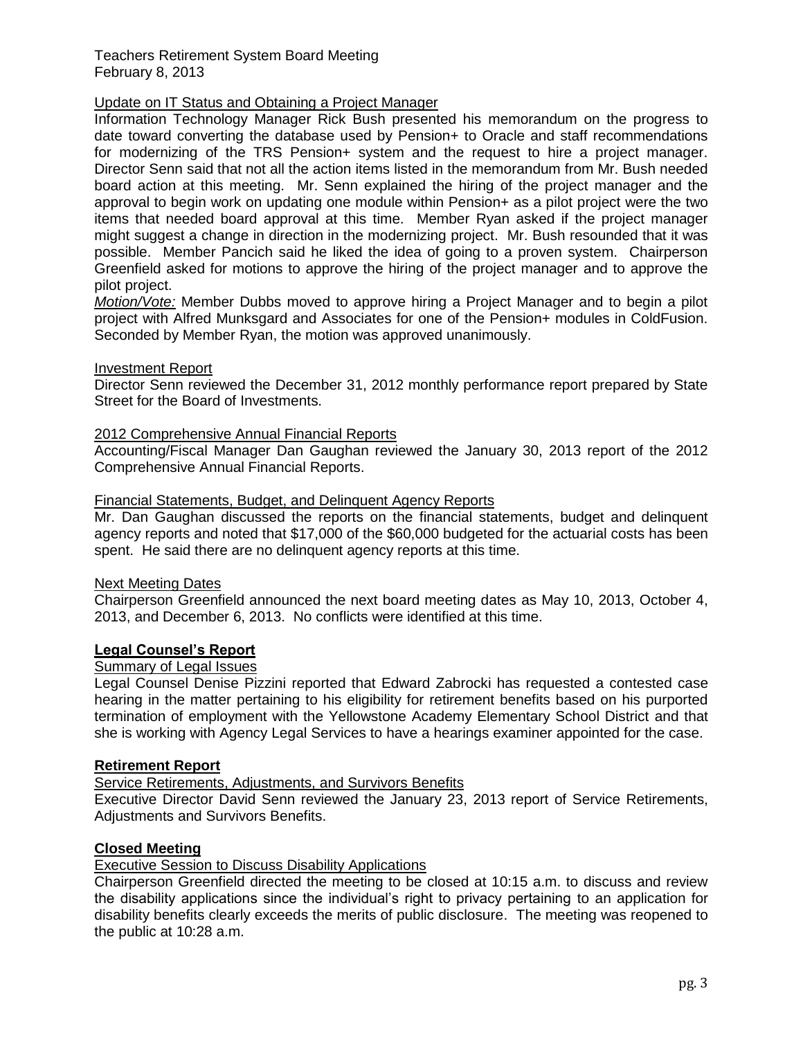### Teachers Retirement System Board Meeting February 8, 2013

# Update on IT Status and Obtaining a Project Manager

Information Technology Manager Rick Bush presented his memorandum on the progress to date toward converting the database used by Pension+ to Oracle and staff recommendations for modernizing of the TRS Pension+ system and the request to hire a project manager. Director Senn said that not all the action items listed in the memorandum from Mr. Bush needed board action at this meeting. Mr. Senn explained the hiring of the project manager and the approval to begin work on updating one module within Pension+ as a pilot project were the two items that needed board approval at this time. Member Ryan asked if the project manager might suggest a change in direction in the modernizing project. Mr. Bush resounded that it was possible. Member Pancich said he liked the idea of going to a proven system. Chairperson Greenfield asked for motions to approve the hiring of the project manager and to approve the pilot project.

*Motion/Vote:* Member Dubbs moved to approve hiring a Project Manager and to begin a pilot project with Alfred Munksgard and Associates for one of the Pension+ modules in ColdFusion. Seconded by Member Ryan, the motion was approved unanimously.

#### Investment Report

Director Senn reviewed the December 31, 2012 monthly performance report prepared by State Street for the Board of Investments.

## 2012 Comprehensive Annual Financial Reports

Accounting/Fiscal Manager Dan Gaughan reviewed the January 30, 2013 report of the 2012 Comprehensive Annual Financial Reports.

### Financial Statements, Budget, and Delinquent Agency Reports

Mr. Dan Gaughan discussed the reports on the financial statements, budget and delinquent agency reports and noted that \$17,000 of the \$60,000 budgeted for the actuarial costs has been spent. He said there are no delinguent agency reports at this time.

#### Next Meeting Dates

Chairperson Greenfield announced the next board meeting dates as May 10, 2013, October 4, 2013, and December 6, 2013. No conflicts were identified at this time.

## **Legal Counsel's Report**

# Summary of Legal Issues

Legal Counsel Denise Pizzini reported that Edward Zabrocki has requested a contested case hearing in the matter pertaining to his eligibility for retirement benefits based on his purported termination of employment with the Yellowstone Academy Elementary School District and that she is working with Agency Legal Services to have a hearings examiner appointed for the case.

#### **Retirement Report**

#### **Service Retirements, Adjustments, and Survivors Benefits**

Executive Director David Senn reviewed the January 23, 2013 report of Service Retirements, Adjustments and Survivors Benefits.

# **Closed Meeting**

# Executive Session to Discuss Disability Applications

Chairperson Greenfield directed the meeting to be closed at 10:15 a.m. to discuss and review the disability applications since the individual's right to privacy pertaining to an application for disability benefits clearly exceeds the merits of public disclosure. The meeting was reopened to the public at 10:28 a.m.